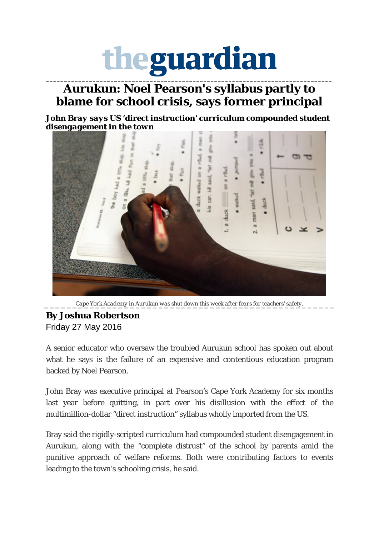## theguardian

## **\_\_\_\_\_\_\_\_\_\_\_\_\_\_\_\_\_\_\_\_\_\_\_\_\_\_\_\_\_\_\_\_\_\_\_\_\_\_\_\_\_\_\_\_\_\_\_\_\_\_\_\_\_\_\_\_\_\_\_\_\_\_\_\_\_\_\_\_\_\_\_\_\_\_\_\_\_\_\_\_ Aurukun: Noel Pearson's syllabus partly to blame for school crisis, says former principal**

*John Bray says US 'direct instruction' curriculum compounded student disengagement in the town*



*Cape York Academy in Aurukun was shut down this week after fears for teachers' safety.*

## **By Joshua Robertson**

Friday 27 May 2016

A senior educator who oversaw the troubled Aurukun school has spoken out about what he says is the failure of an expensive and contentious education program backed by Noel Pearson.

John Bray was executive principal at Pearson's Cape York Academy for six months last year before quitting, in part over his disillusion with the effect of the multimillion-dollar "direct instruction" syllabus wholly imported from the US.

Bray said the rigidly-scripted curriculum had compounded student disengagement in Aurukun, along with the "complete distrust" of the school by parents amid the punitive approach of welfare reforms. Both were contributing factors to events leading to the town's schooling crisis, he said.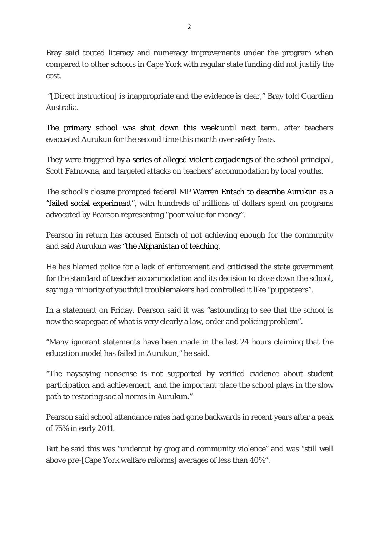Bray said touted literacy and numeracy improvements under the program when compared to other schools in Cape York with regular state funding did not justify the cost.

"[Direct instruction] is inappropriate and the evidence is clear," Bray told Guardian Australia.

The primary school was shut down this week until next term, after teachers evacuated Aurukun for the second time this month over safety fears.

They were triggered by a series of alleged violent carjackings of the school principal, Scott Fatnowna, and targeted attacks on teachers' accommodation by local youths.

The school's closure prompted federal MP Warren Entsch to describe Aurukun as a "failed social experiment", with hundreds of millions of dollars spent on programs advocated by Pearson representing "poor value for money".

Pearson in return has accused Entsch of not achieving enough for the community and said Aurukun was "the Afghanistan of teaching.

He has blamed police for a lack of enforcement and criticised the state government for the standard of teacher accommodation and its decision to close down the school, saying a minority of youthful troublemakers had controlled it like "puppeteers".

In a statement on Friday, Pearson said it was "astounding to see that the school is now the scapegoat of what is very clearly a law, order and policing problem".

"Many ignorant statements have been made in the last 24 hours claiming that the education model has failed in Aurukun," he said.

"The naysaying nonsense is not supported by verified evidence about student participation and achievement, and the important place the school plays in the slow path to restoring social norms in Aurukun."

Pearson said school attendance rates had gone backwards in recent years after a peak of 75% in early 2011.

But he said this was "undercut by grog and community violence" and was "still well above pre-[Cape York welfare reforms] averages of less than 40%".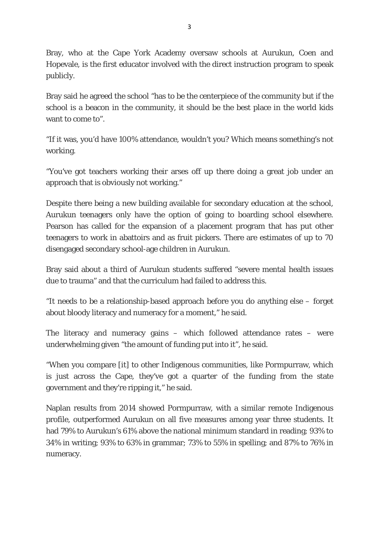Bray, who at the Cape York Academy oversaw schools at Aurukun, Coen and Hopevale, is the first educator involved with the direct instruction program to speak publicly.

Bray said he agreed the school "has to be the centerpiece of the community but if the school is a beacon in the community, it should be the best place in the world kids want to come to".

"If it was, you'd have 100% attendance, wouldn't you? Which means something's not working.

"You've got teachers working their arses off up there doing a great job under an approach that is obviously not working."

Despite there being a new building available for secondary education at the school, Aurukun teenagers only have the option of going to boarding school elsewhere. Pearson has called for the expansion of a placement program that has put other teenagers to work in abattoirs and as fruit pickers. There are estimates of up to 70 disengaged secondary school-age children in Aurukun.

Bray said about a third of Aurukun students suffered "severe mental health issues due to trauma" and that the curriculum had failed to address this.

"It needs to be a relationship-based approach before you do anything else – forget about bloody literacy and numeracy for a moment," he said.

The literacy and numeracy gains – which followed attendance rates – were underwhelming given "the amount of funding put into it", he said.

"When you compare [it] to other Indigenous communities, like Pormpurraw, which is just across the Cape, they've got a quarter of the funding from the state government and they're ripping it," he said.

Naplan results from 2014 showed Pormpurraw, with a similar remote Indigenous profile, outperformed Aurukun on all five measures among year three students. It had 79% to Aurukun's 61% above the national minimum standard in reading; 93% to 34% in writing; 93% to 63% in grammar; 73% to 55% in spelling; and 87% to 76% in numeracy.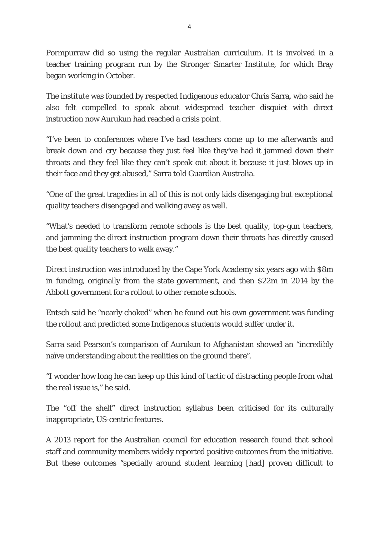Pormpurraw did so using the regular Australian curriculum. It is involved in a teacher training program run by the Stronger Smarter Institute, for which Bray began working in October.

The institute was founded by respected Indigenous educator Chris Sarra, who said he also felt compelled to speak about widespread teacher disquiet with direct instruction now Aurukun had reached a crisis point.

"I've been to conferences where I've had teachers come up to me afterwards and break down and cry because they just feel like they've had it jammed down their throats and they feel like they can't speak out about it because it just blows up in their face and they get abused," Sarra told Guardian Australia.

"One of the great tragedies in all of this is not only kids disengaging but exceptional quality teachers disengaged and walking away as well.

"What's needed to transform remote schools is the best quality, top-gun teachers, and jamming the direct instruction program down their throats has directly caused the best quality teachers to walk away."

Direct instruction was introduced by the Cape York Academy six years ago with \$8m in funding, originally from the state government, and then \$22m in 2014 by the Abbott government for a rollout to other remote schools.

Entsch said he "nearly choked" when he found out his own government was funding the rollout and predicted some Indigenous students would suffer under it.

Sarra said Pearson's comparison of Aurukun to Afghanistan showed an "incredibly naïve understanding about the realities on the ground there".

"I wonder how long he can keep up this kind of tactic of distracting people from what the real issue is," he said.

The "off the shelf" direct instruction syllabus been criticised for its culturally inappropriate, US-centric features.

A 2013 report for the Australian council for education research found that school staff and community members widely reported positive outcomes from the initiative. But these outcomes "specially around student learning [had] proven difficult to